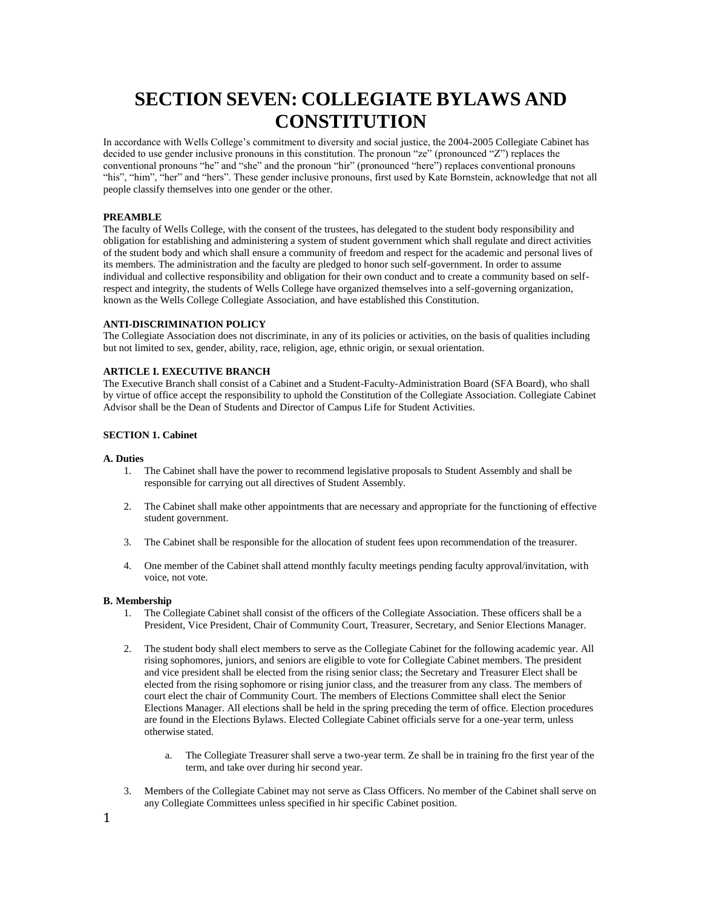# **SECTION SEVEN: COLLEGIATE BYLAWS AND CONSTITUTION**

In accordance with Wells College's commitment to diversity and social justice, the 2004-2005 Collegiate Cabinet has decided to use gender inclusive pronouns in this constitution. The pronoun "ze" (pronounced "Z") replaces the conventional pronouns "he" and "she" and the pronoun "hir" (pronounced "here") replaces conventional pronouns "his", "him", "her" and "hers". These gender inclusive pronouns, first used by Kate Bornstein, acknowledge that not all people classify themselves into one gender or the other.

# **PREAMBLE**

The faculty of Wells College, with the consent of the trustees, has delegated to the student body responsibility and obligation for establishing and administering a system of student government which shall regulate and direct activities of the student body and which shall ensure a community of freedom and respect for the academic and personal lives of its members. The administration and the faculty are pledged to honor such self-government. In order to assume individual and collective responsibility and obligation for their own conduct and to create a community based on selfrespect and integrity, the students of Wells College have organized themselves into a self-governing organization, known as the Wells College Collegiate Association, and have established this Constitution.

# **ANTI-DISCRIMINATION POLICY**

The Collegiate Association does not discriminate, in any of its policies or activities, on the basis of qualities including but not limited to sex, gender, ability, race, religion, age, ethnic origin, or sexual orientation.

# **ARTICLE I. EXECUTIVE BRANCH**

The Executive Branch shall consist of a Cabinet and a Student-Faculty-Administration Board (SFA Board), who shall by virtue of office accept the responsibility to uphold the Constitution of the Collegiate Association. Collegiate Cabinet Advisor shall be the Dean of Students and Director of Campus Life for Student Activities.

# **SECTION 1. Cabinet**

#### **A. Duties**

- 1. The Cabinet shall have the power to recommend legislative proposals to Student Assembly and shall be responsible for carrying out all directives of Student Assembly.
- 2. The Cabinet shall make other appointments that are necessary and appropriate for the functioning of effective student government.
- 3. The Cabinet shall be responsible for the allocation of student fees upon recommendation of the treasurer.
- 4. One member of the Cabinet shall attend monthly faculty meetings pending faculty approval/invitation, with voice, not vote.

#### **B. Membership**

- 1. The Collegiate Cabinet shall consist of the officers of the Collegiate Association. These officers shall be a President, Vice President, Chair of Community Court, Treasurer, Secretary, and Senior Elections Manager.
- 2. The student body shall elect members to serve as the Collegiate Cabinet for the following academic year. All rising sophomores, juniors, and seniors are eligible to vote for Collegiate Cabinet members. The president and vice president shall be elected from the rising senior class; the Secretary and Treasurer Elect shall be elected from the rising sophomore or rising junior class, and the treasurer from any class. The members of court elect the chair of Community Court. The members of Elections Committee shall elect the Senior Elections Manager. All elections shall be held in the spring preceding the term of office. Election procedures are found in the Elections Bylaws. Elected Collegiate Cabinet officials serve for a one-year term, unless otherwise stated.
	- a. The Collegiate Treasurer shall serve a two-year term. Ze shall be in training fro the first year of the term, and take over during hir second year.
- 3. Members of the Collegiate Cabinet may not serve as Class Officers. No member of the Cabinet shall serve on any Collegiate Committees unless specified in hir specific Cabinet position.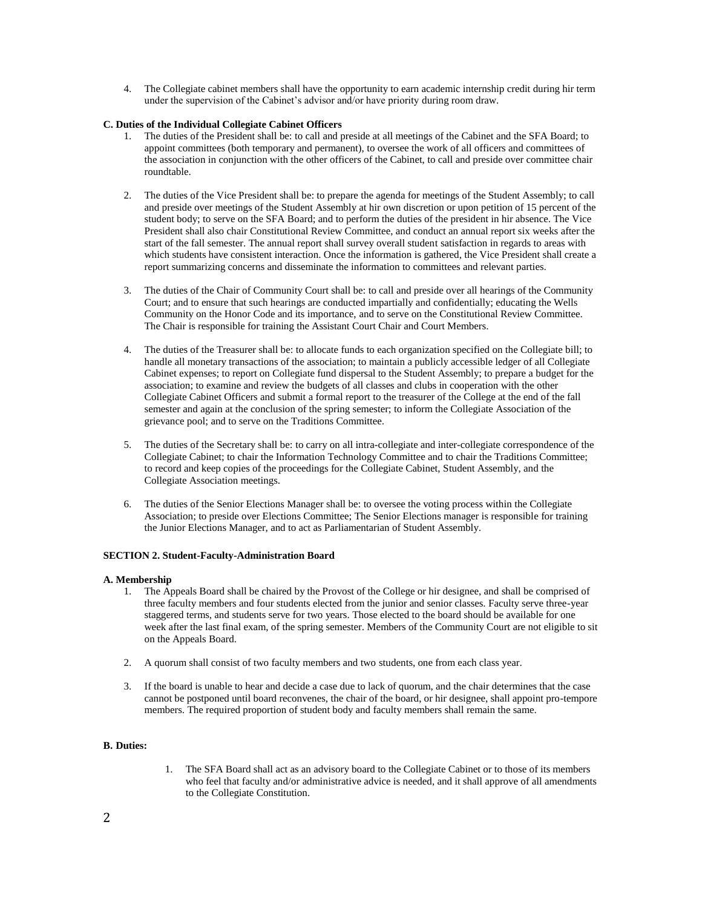4. The Collegiate cabinet members shall have the opportunity to earn academic internship credit during hir term under the supervision of the Cabinet's advisor and/or have priority during room draw.

# **C. Duties of the Individual Collegiate Cabinet Officers**

- 1. The duties of the President shall be: to call and preside at all meetings of the Cabinet and the SFA Board; to appoint committees (both temporary and permanent), to oversee the work of all officers and committees of the association in conjunction with the other officers of the Cabinet, to call and preside over committee chair roundtable.
- 2. The duties of the Vice President shall be: to prepare the agenda for meetings of the Student Assembly; to call and preside over meetings of the Student Assembly at hir own discretion or upon petition of 15 percent of the student body; to serve on the SFA Board; and to perform the duties of the president in hir absence. The Vice President shall also chair Constitutional Review Committee, and conduct an annual report six weeks after the start of the fall semester. The annual report shall survey overall student satisfaction in regards to areas with which students have consistent interaction. Once the information is gathered, the Vice President shall create a report summarizing concerns and disseminate the information to committees and relevant parties.
- 3. The duties of the Chair of Community Court shall be: to call and preside over all hearings of the Community Court; and to ensure that such hearings are conducted impartially and confidentially; educating the Wells Community on the Honor Code and its importance, and to serve on the Constitutional Review Committee. The Chair is responsible for training the Assistant Court Chair and Court Members.
- 4. The duties of the Treasurer shall be: to allocate funds to each organization specified on the Collegiate bill; to handle all monetary transactions of the association; to maintain a publicly accessible ledger of all Collegiate Cabinet expenses; to report on Collegiate fund dispersal to the Student Assembly; to prepare a budget for the association; to examine and review the budgets of all classes and clubs in cooperation with the other Collegiate Cabinet Officers and submit a formal report to the treasurer of the College at the end of the fall semester and again at the conclusion of the spring semester; to inform the Collegiate Association of the grievance pool; and to serve on the Traditions Committee.
- 5. The duties of the Secretary shall be: to carry on all intra-collegiate and inter-collegiate correspondence of the Collegiate Cabinet; to chair the Information Technology Committee and to chair the Traditions Committee; to record and keep copies of the proceedings for the Collegiate Cabinet, Student Assembly, and the Collegiate Association meetings.
- 6. The duties of the Senior Elections Manager shall be: to oversee the voting process within the Collegiate Association; to preside over Elections Committee; The Senior Elections manager is responsible for training the Junior Elections Manager, and to act as Parliamentarian of Student Assembly.

# **SECTION 2. Student-Faculty-Administration Board**

# **A. Membership**

- 1. The Appeals Board shall be chaired by the Provost of the College or hir designee, and shall be comprised of three faculty members and four students elected from the junior and senior classes. Faculty serve three-year staggered terms, and students serve for two years. Those elected to the board should be available for one week after the last final exam, of the spring semester. Members of the Community Court are not eligible to sit on the Appeals Board.
- 2. A quorum shall consist of two faculty members and two students, one from each class year.
- 3. If the board is unable to hear and decide a case due to lack of quorum, and the chair determines that the case cannot be postponed until board reconvenes, the chair of the board, or hir designee, shall appoint pro-tempore members. The required proportion of student body and faculty members shall remain the same.

# **B. Duties:**

1. The SFA Board shall act as an advisory board to the Collegiate Cabinet or to those of its members who feel that faculty and/or administrative advice is needed, and it shall approve of all amendments to the Collegiate Constitution.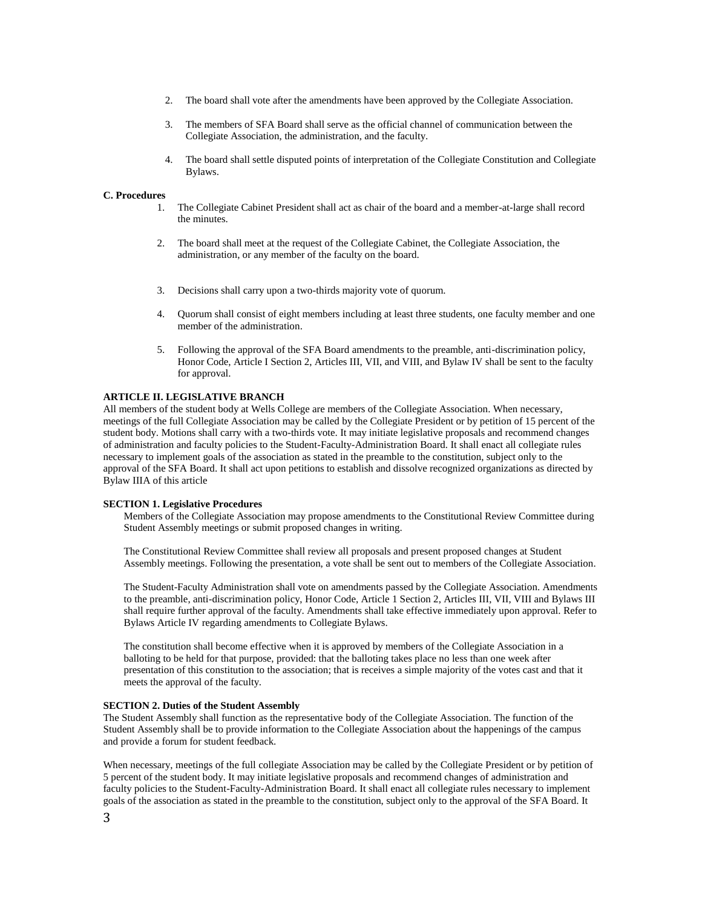- 2. The board shall vote after the amendments have been approved by the Collegiate Association.
- 3. The members of SFA Board shall serve as the official channel of communication between the Collegiate Association, the administration, and the faculty.
- 4. The board shall settle disputed points of interpretation of the Collegiate Constitution and Collegiate Bylaws.

# **C. Procedures**

- 1. The Collegiate Cabinet President shall act as chair of the board and a member-at-large shall record the minutes.
- 2. The board shall meet at the request of the Collegiate Cabinet, the Collegiate Association, the administration, or any member of the faculty on the board.
- 3. Decisions shall carry upon a two-thirds majority vote of quorum.
- 4. Quorum shall consist of eight members including at least three students, one faculty member and one member of the administration.
- 5. Following the approval of the SFA Board amendments to the preamble, anti-discrimination policy, Honor Code, Article I Section 2, Articles III, VII, and VIII, and Bylaw IV shall be sent to the faculty for approval.

# **ARTICLE II. LEGISLATIVE BRANCH**

All members of the student body at Wells College are members of the Collegiate Association. When necessary, meetings of the full Collegiate Association may be called by the Collegiate President or by petition of 15 percent of the student body. Motions shall carry with a two-thirds vote. It may initiate legislative proposals and recommend changes of administration and faculty policies to the Student-Faculty-Administration Board. It shall enact all collegiate rules necessary to implement goals of the association as stated in the preamble to the constitution, subject only to the approval of the SFA Board. It shall act upon petitions to establish and dissolve recognized organizations as directed by Bylaw IIIA of this article

# **SECTION 1. Legislative Procedures**

Members of the Collegiate Association may propose amendments to the Constitutional Review Committee during Student Assembly meetings or submit proposed changes in writing.

The Constitutional Review Committee shall review all proposals and present proposed changes at Student Assembly meetings. Following the presentation, a vote shall be sent out to members of the Collegiate Association.

The Student-Faculty Administration shall vote on amendments passed by the Collegiate Association. Amendments to the preamble, anti-discrimination policy, Honor Code, Article 1 Section 2, Articles III, VII, VIII and Bylaws III shall require further approval of the faculty. Amendments shall take effective immediately upon approval. Refer to Bylaws Article IV regarding amendments to Collegiate Bylaws.

The constitution shall become effective when it is approved by members of the Collegiate Association in a balloting to be held for that purpose, provided: that the balloting takes place no less than one week after presentation of this constitution to the association; that is receives a simple majority of the votes cast and that it meets the approval of the faculty.

# **SECTION 2. Duties of the Student Assembly**

The Student Assembly shall function as the representative body of the Collegiate Association. The function of the Student Assembly shall be to provide information to the Collegiate Association about the happenings of the campus and provide a forum for student feedback.

When necessary, meetings of the full collegiate Association may be called by the Collegiate President or by petition of 5 percent of the student body. It may initiate legislative proposals and recommend changes of administration and faculty policies to the Student-Faculty-Administration Board. It shall enact all collegiate rules necessary to implement goals of the association as stated in the preamble to the constitution, subject only to the approval of the SFA Board. It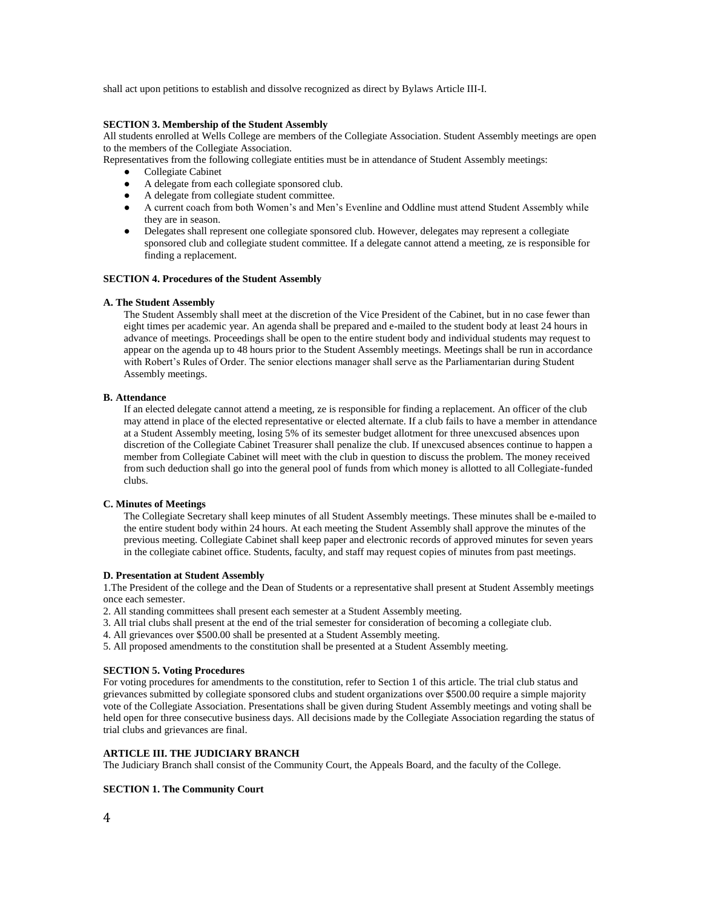shall act upon petitions to establish and dissolve recognized as direct by Bylaws Article III-I.

# **SECTION 3. Membership of the Student Assembly**

All students enrolled at Wells College are members of the Collegiate Association. Student Assembly meetings are open to the members of the Collegiate Association.

Representatives from the following collegiate entities must be in attendance of Student Assembly meetings:

- Collegiate Cabinet
- A delegate from each collegiate sponsored club.
- A delegate from collegiate student committee.
- A current coach from both Women's and Men's Evenline and Oddline must attend Student Assembly while they are in season.
- Delegates shall represent one collegiate sponsored club. However, delegates may represent a collegiate sponsored club and collegiate student committee. If a delegate cannot attend a meeting, ze is responsible for finding a replacement.

# **SECTION 4. Procedures of the Student Assembly**

# **A. The Student Assembly**

The Student Assembly shall meet at the discretion of the Vice President of the Cabinet, but in no case fewer than eight times per academic year. An agenda shall be prepared and e-mailed to the student body at least 24 hours in advance of meetings. Proceedings shall be open to the entire student body and individual students may request to appear on the agenda up to 48 hours prior to the Student Assembly meetings. Meetings shall be run in accordance with Robert's Rules of Order. The senior elections manager shall serve as the Parliamentarian during Student Assembly meetings.

# **B. Attendance**

If an elected delegate cannot attend a meeting, ze is responsible for finding a replacement. An officer of the club may attend in place of the elected representative or elected alternate. If a club fails to have a member in attendance at a Student Assembly meeting, losing 5% of its semester budget allotment for three unexcused absences upon discretion of the Collegiate Cabinet Treasurer shall penalize the club. If unexcused absences continue to happen a member from Collegiate Cabinet will meet with the club in question to discuss the problem. The money received from such deduction shall go into the general pool of funds from which money is allotted to all Collegiate-funded clubs.

# **C. Minutes of Meetings**

The Collegiate Secretary shall keep minutes of all Student Assembly meetings. These minutes shall be e-mailed to the entire student body within 24 hours. At each meeting the Student Assembly shall approve the minutes of the previous meeting. Collegiate Cabinet shall keep paper and electronic records of approved minutes for seven years in the collegiate cabinet office. Students, faculty, and staff may request copies of minutes from past meetings.

# **D. Presentation at Student Assembly**

1.The President of the college and the Dean of Students or a representative shall present at Student Assembly meetings once each semester.

2. All standing committees shall present each semester at a Student Assembly meeting.

- 3. All trial clubs shall present at the end of the trial semester for consideration of becoming a collegiate club.
- 4. All grievances over \$500.00 shall be presented at a Student Assembly meeting.
- 5. All proposed amendments to the constitution shall be presented at a Student Assembly meeting.

# **SECTION 5. Voting Procedures**

For voting procedures for amendments to the constitution, refer to Section 1 of this article. The trial club status and grievances submitted by collegiate sponsored clubs and student organizations over \$500.00 require a simple majority vote of the Collegiate Association. Presentations shall be given during Student Assembly meetings and voting shall be held open for three consecutive business days. All decisions made by the Collegiate Association regarding the status of trial clubs and grievances are final.

# **ARTICLE III. THE JUDICIARY BRANCH**

The Judiciary Branch shall consist of the Community Court, the Appeals Board, and the faculty of the College.

# **SECTION 1. The Community Court**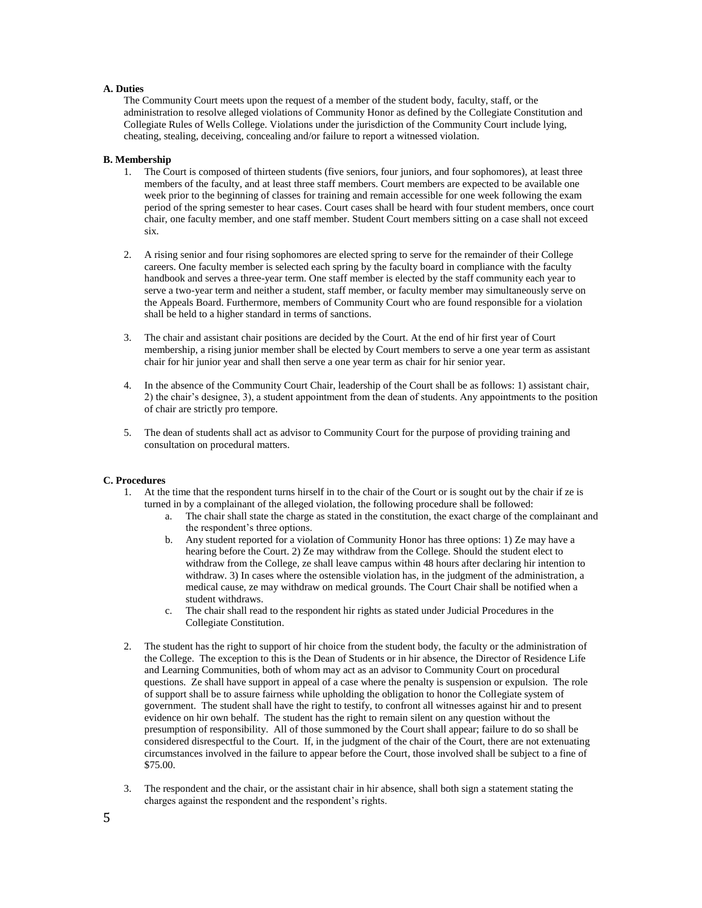# **A. Duties**

The Community Court meets upon the request of a member of the student body, faculty, staff, or the administration to resolve alleged violations of Community Honor as defined by the Collegiate Constitution and Collegiate Rules of Wells College. Violations under the jurisdiction of the Community Court include lying, cheating, stealing, deceiving, concealing and/or failure to report a witnessed violation.

# **B. Membership**

- 1. The Court is composed of thirteen students (five seniors, four juniors, and four sophomores), at least three members of the faculty, and at least three staff members. Court members are expected to be available one week prior to the beginning of classes for training and remain accessible for one week following the exam period of the spring semester to hear cases. Court cases shall be heard with four student members, once court chair, one faculty member, and one staff member. Student Court members sitting on a case shall not exceed six.
- 2. A rising senior and four rising sophomores are elected spring to serve for the remainder of their College careers. One faculty member is selected each spring by the faculty board in compliance with the faculty handbook and serves a three-year term. One staff member is elected by the staff community each year to serve a two-year term and neither a student, staff member, or faculty member may simultaneously serve on the Appeals Board. Furthermore, members of Community Court who are found responsible for a violation shall be held to a higher standard in terms of sanctions.
- 3. The chair and assistant chair positions are decided by the Court. At the end of hir first year of Court membership, a rising junior member shall be elected by Court members to serve a one year term as assistant chair for hir junior year and shall then serve a one year term as chair for hir senior year.
- 4. In the absence of the Community Court Chair, leadership of the Court shall be as follows: 1) assistant chair, 2) the chair's designee, 3), a student appointment from the dean of students. Any appointments to the position of chair are strictly pro tempore.
- 5. The dean of students shall act as advisor to Community Court for the purpose of providing training and consultation on procedural matters.

# **C. Procedures**

- 1. At the time that the respondent turns hirself in to the chair of the Court or is sought out by the chair if ze is turned in by a complainant of the alleged violation, the following procedure shall be followed:
	- a. The chair shall state the charge as stated in the constitution, the exact charge of the complainant and the respondent's three options.
	- b. Any student reported for a violation of Community Honor has three options: 1) Ze may have a hearing before the Court. 2) Ze may withdraw from the College. Should the student elect to withdraw from the College, ze shall leave campus within 48 hours after declaring hir intention to withdraw. 3) In cases where the ostensible violation has, in the judgment of the administration, a medical cause, ze may withdraw on medical grounds. The Court Chair shall be notified when a student withdraws.
	- c. The chair shall read to the respondent hir rights as stated under Judicial Procedures in the Collegiate Constitution.
- 2. The student has the right to support of hir choice from the student body, the faculty or the administration of the College. The exception to this is the Dean of Students or in hir absence, the Director of Residence Life and Learning Communities, both of whom may act as an advisor to Community Court on procedural questions. Ze shall have support in appeal of a case where the penalty is suspension or expulsion. The role of support shall be to assure fairness while upholding the obligation to honor the Collegiate system of government. The student shall have the right to testify, to confront all witnesses against hir and to present evidence on hir own behalf. The student has the right to remain silent on any question without the presumption of responsibility. All of those summoned by the Court shall appear; failure to do so shall be considered disrespectful to the Court. If, in the judgment of the chair of the Court, there are not extenuating circumstances involved in the failure to appear before the Court, those involved shall be subject to a fine of \$75.00.
- 3. The respondent and the chair, or the assistant chair in hir absence, shall both sign a statement stating the charges against the respondent and the respondent's rights.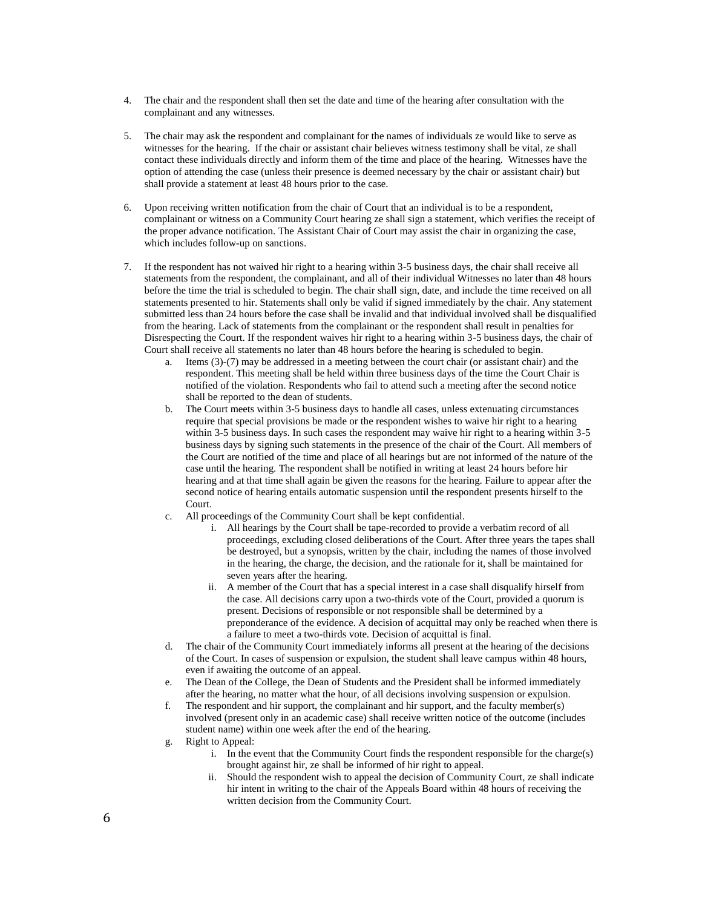- 4. The chair and the respondent shall then set the date and time of the hearing after consultation with the complainant and any witnesses.
- 5. The chair may ask the respondent and complainant for the names of individuals ze would like to serve as witnesses for the hearing. If the chair or assistant chair believes witness testimony shall be vital, ze shall contact these individuals directly and inform them of the time and place of the hearing. Witnesses have the option of attending the case (unless their presence is deemed necessary by the chair or assistant chair) but shall provide a statement at least 48 hours prior to the case.
- 6. Upon receiving written notification from the chair of Court that an individual is to be a respondent, complainant or witness on a Community Court hearing ze shall sign a statement, which verifies the receipt of the proper advance notification. The Assistant Chair of Court may assist the chair in organizing the case, which includes follow-up on sanctions.
- 7. If the respondent has not waived hir right to a hearing within 3-5 business days, the chair shall receive all statements from the respondent, the complainant, and all of their individual Witnesses no later than 48 hours before the time the trial is scheduled to begin. The chair shall sign, date, and include the time received on all statements presented to hir. Statements shall only be valid if signed immediately by the chair. Any statement submitted less than 24 hours before the case shall be invalid and that individual involved shall be disqualified from the hearing. Lack of statements from the complainant or the respondent shall result in penalties for Disrespecting the Court. If the respondent waives hir right to a hearing within 3-5 business days, the chair of Court shall receive all statements no later than 48 hours before the hearing is scheduled to begin.
	- a. Items (3)-(7) may be addressed in a meeting between the court chair (or assistant chair) and the respondent. This meeting shall be held within three business days of the time the Court Chair is notified of the violation. Respondents who fail to attend such a meeting after the second notice shall be reported to the dean of students.
	- b. The Court meets within 3-5 business days to handle all cases, unless extenuating circumstances require that special provisions be made or the respondent wishes to waive hir right to a hearing within 3-5 business days. In such cases the respondent may waive hir right to a hearing within 3-5 business days by signing such statements in the presence of the chair of the Court. All members of the Court are notified of the time and place of all hearings but are not informed of the nature of the case until the hearing. The respondent shall be notified in writing at least 24 hours before hir hearing and at that time shall again be given the reasons for the hearing. Failure to appear after the second notice of hearing entails automatic suspension until the respondent presents hirself to the Court.
	- c. All proceedings of the Community Court shall be kept confidential.
		- i. All hearings by the Court shall be tape-recorded to provide a verbatim record of all proceedings, excluding closed deliberations of the Court. After three years the tapes shall be destroyed, but a synopsis, written by the chair, including the names of those involved in the hearing, the charge, the decision, and the rationale for it, shall be maintained for seven years after the hearing.
		- ii. A member of the Court that has a special interest in a case shall disqualify hirself from the case. All decisions carry upon a two-thirds vote of the Court, provided a quorum is present. Decisions of responsible or not responsible shall be determined by a preponderance of the evidence. A decision of acquittal may only be reached when there is a failure to meet a two-thirds vote. Decision of acquittal is final.
	- d. The chair of the Community Court immediately informs all present at the hearing of the decisions of the Court. In cases of suspension or expulsion, the student shall leave campus within 48 hours, even if awaiting the outcome of an appeal.
	- e. The Dean of the College, the Dean of Students and the President shall be informed immediately after the hearing, no matter what the hour, of all decisions involving suspension or expulsion.
	- f. The respondent and hir support, the complainant and hir support, and the faculty member(s) involved (present only in an academic case) shall receive written notice of the outcome (includes student name) within one week after the end of the hearing.
	- g. Right to Appeal:
		- i. In the event that the Community Court finds the respondent responsible for the charge(s) brought against hir, ze shall be informed of hir right to appeal.
		- ii. Should the respondent wish to appeal the decision of Community Court, ze shall indicate hir intent in writing to the chair of the Appeals Board within 48 hours of receiving the written decision from the Community Court.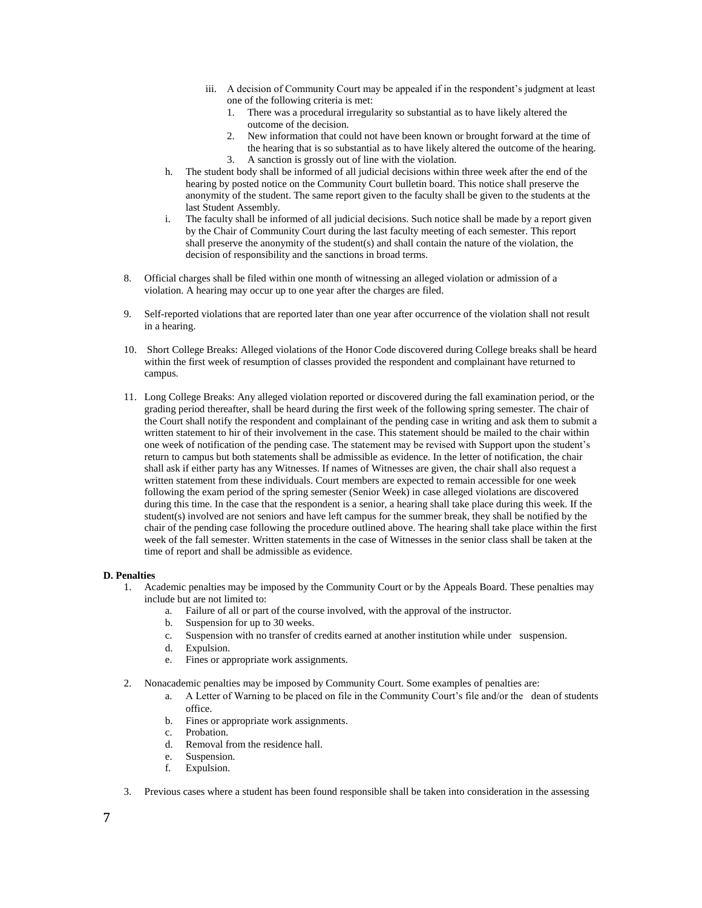- iii. A decision of Community Court may be appealed if in the respondent's judgment at least one of the following criteria is met:
	- 1. There was a procedural irregularity so substantial as to have likely altered the outcome of the decision.
	- 2. New information that could not have been known or brought forward at the time of the hearing that is so substantial as to have likely altered the outcome of the hearing.
	- 3. A sanction is grossly out of line with the violation.
- h. The student body shall be informed of all judicial decisions within three week after the end of the hearing by posted notice on the Community Court bulletin board. This notice shall preserve the anonymity of the student. The same report given to the faculty shall be given to the students at the last Student Assembly.
- i. The faculty shall be informed of all judicial decisions. Such notice shall be made by a report given by the Chair of Community Court during the last faculty meeting of each semester. This report shall preserve the anonymity of the student(s) and shall contain the nature of the violation, the decision of responsibility and the sanctions in broad terms.
- 8. Official charges shall be filed within one month of witnessing an alleged violation or admission of a violation. A hearing may occur up to one year after the charges are filed.
- 9. Self-reported violations that are reported later than one year after occurrence of the violation shall not result in a hearing.
- 10. Short College Breaks: Alleged violations of the Honor Code discovered during College breaks shall be heard within the first week of resumption of classes provided the respondent and complainant have returned to campus.
- 11. Long College Breaks: Any alleged violation reported or discovered during the fall examination period, or the grading period thereafter, shall be heard during the first week of the following spring semester. The chair of the Court shall notify the respondent and complainant of the pending case in writing and ask them to submit a written statement to hir of their involvement in the case. This statement should be mailed to the chair within one week of notification of the pending case. The statement may be revised with Support upon the student's return to campus but both statements shall be admissible as evidence. In the letter of notification, the chair shall ask if either party has any Witnesses. If names of Witnesses are given, the chair shall also request a written statement from these individuals. Court members are expected to remain accessible for one week following the exam period of the spring semester (Senior Week) in case alleged violations are discovered during this time. In the case that the respondent is a senior, a hearing shall take place during this week. If the student(s) involved are not seniors and have left campus for the summer break, they shall be notified by the chair of the pending case following the procedure outlined above. The hearing shall take place within the first week of the fall semester. Written statements in the case of Witnesses in the senior class shall be taken at the time of report and shall be admissible as evidence.

# **D. Penalties**

- 1. Academic penalties may be imposed by the Community Court or by the Appeals Board. These penalties may include but are not limited to:
	- a. Failure of all or part of the course involved, with the approval of the instructor.
	- b. Suspension for up to 30 weeks.
	- c. Suspension with no transfer of credits earned at another institution while under suspension.
	- d. Expulsion.
	- e. Fines or appropriate work assignments.
- 2. Nonacademic penalties may be imposed by Community Court. Some examples of penalties are:
	- a. A Letter of Warning to be placed on file in the Community Court's file and/or the dean of students office.
	- b. Fines or appropriate work assignments.
	- c. Probation.
	- d. Removal from the residence hall.
	- e. Suspension.
	- f. Expulsion.
- 3. Previous cases where a student has been found responsible shall be taken into consideration in the assessing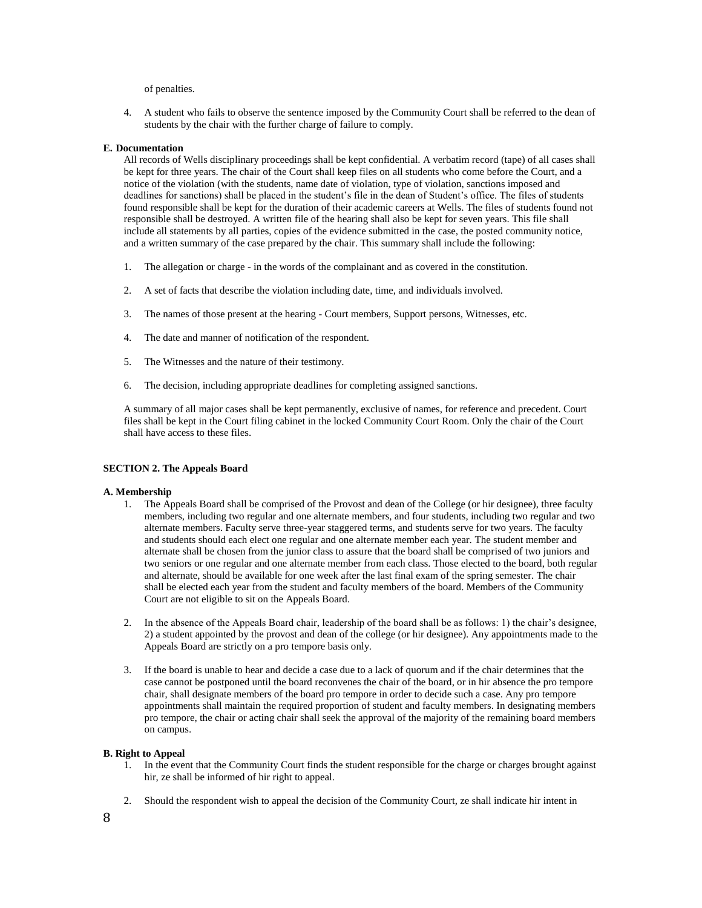of penalties.

4. A student who fails to observe the sentence imposed by the Community Court shall be referred to the dean of students by the chair with the further charge of failure to comply.

## **E. Documentation**

All records of Wells disciplinary proceedings shall be kept confidential. A verbatim record (tape) of all cases shall be kept for three years. The chair of the Court shall keep files on all students who come before the Court, and a notice of the violation (with the students, name date of violation, type of violation, sanctions imposed and deadlines for sanctions) shall be placed in the student's file in the dean of Student's office. The files of students found responsible shall be kept for the duration of their academic careers at Wells. The files of students found not responsible shall be destroyed. A written file of the hearing shall also be kept for seven years. This file shall include all statements by all parties, copies of the evidence submitted in the case, the posted community notice, and a written summary of the case prepared by the chair. This summary shall include the following:

- 1. The allegation or charge in the words of the complainant and as covered in the constitution.
- 2. A set of facts that describe the violation including date, time, and individuals involved.
- 3. The names of those present at the hearing Court members, Support persons, Witnesses, etc.
- 4. The date and manner of notification of the respondent.
- 5. The Witnesses and the nature of their testimony.
- 6. The decision, including appropriate deadlines for completing assigned sanctions.

A summary of all major cases shall be kept permanently, exclusive of names, for reference and precedent. Court files shall be kept in the Court filing cabinet in the locked Community Court Room. Only the chair of the Court shall have access to these files.

#### **SECTION 2. The Appeals Board**

#### **A. Membership**

- 1. The Appeals Board shall be comprised of the Provost and dean of the College (or hir designee), three faculty members, including two regular and one alternate members, and four students, including two regular and two alternate members. Faculty serve three-year staggered terms, and students serve for two years. The faculty and students should each elect one regular and one alternate member each year. The student member and alternate shall be chosen from the junior class to assure that the board shall be comprised of two juniors and two seniors or one regular and one alternate member from each class. Those elected to the board, both regular and alternate, should be available for one week after the last final exam of the spring semester. The chair shall be elected each year from the student and faculty members of the board. Members of the Community Court are not eligible to sit on the Appeals Board.
- 2. In the absence of the Appeals Board chair, leadership of the board shall be as follows: 1) the chair's designee, 2) a student appointed by the provost and dean of the college (or hir designee). Any appointments made to the Appeals Board are strictly on a pro tempore basis only.
- 3. If the board is unable to hear and decide a case due to a lack of quorum and if the chair determines that the case cannot be postponed until the board reconvenes the chair of the board, or in hir absence the pro tempore chair, shall designate members of the board pro tempore in order to decide such a case. Any pro tempore appointments shall maintain the required proportion of student and faculty members. In designating members pro tempore, the chair or acting chair shall seek the approval of the majority of the remaining board members on campus.

#### **B. Right to Appeal**

- 1. In the event that the Community Court finds the student responsible for the charge or charges brought against hir, ze shall be informed of hir right to appeal.
- 2. Should the respondent wish to appeal the decision of the Community Court, ze shall indicate hir intent in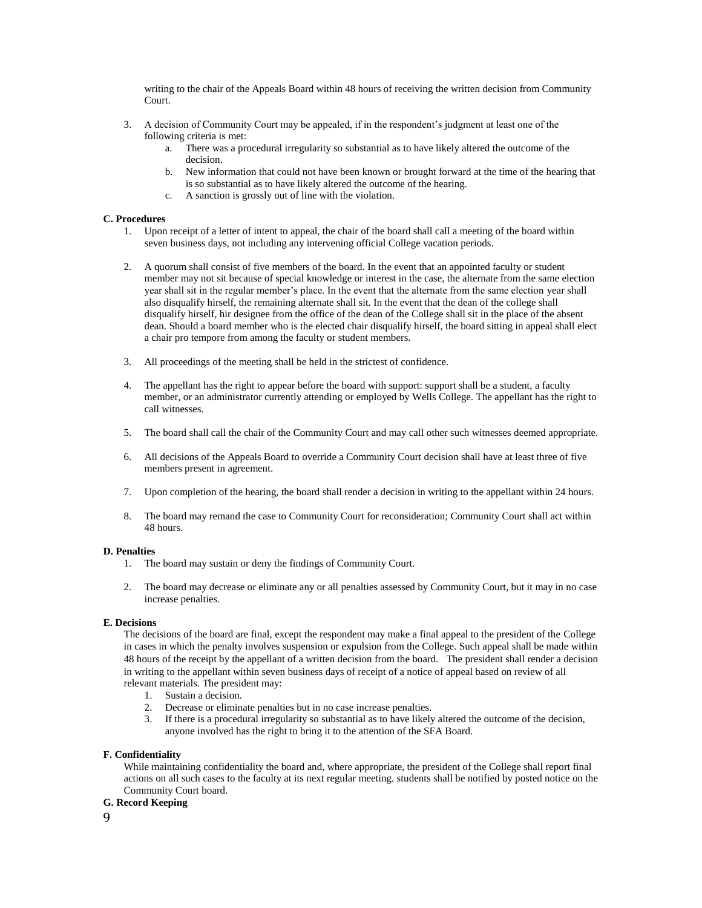writing to the chair of the Appeals Board within 48 hours of receiving the written decision from Community Court.

- 3. A decision of Community Court may be appealed, if in the respondent's judgment at least one of the following criteria is met:
	- a. There was a procedural irregularity so substantial as to have likely altered the outcome of the decision.
	- b. New information that could not have been known or brought forward at the time of the hearing that is so substantial as to have likely altered the outcome of the hearing.
	- c. A sanction is grossly out of line with the violation.

# **C. Procedures**

- 1. Upon receipt of a letter of intent to appeal, the chair of the board shall call a meeting of the board within seven business days, not including any intervening official College vacation periods.
- 2. A quorum shall consist of five members of the board. In the event that an appointed faculty or student member may not sit because of special knowledge or interest in the case, the alternate from the same election year shall sit in the regular member's place. In the event that the alternate from the same election year shall also disqualify hirself, the remaining alternate shall sit. In the event that the dean of the college shall disqualify hirself, hir designee from the office of the dean of the College shall sit in the place of the absent dean. Should a board member who is the elected chair disqualify hirself, the board sitting in appeal shall elect a chair pro tempore from among the faculty or student members.
- 3. All proceedings of the meeting shall be held in the strictest of confidence.
- 4. The appellant has the right to appear before the board with support: support shall be a student, a faculty member, or an administrator currently attending or employed by Wells College. The appellant has the right to call witnesses.
- 5. The board shall call the chair of the Community Court and may call other such witnesses deemed appropriate.
- 6. All decisions of the Appeals Board to override a Community Court decision shall have at least three of five members present in agreement.
- 7. Upon completion of the hearing, the board shall render a decision in writing to the appellant within 24 hours.
- 8. The board may remand the case to Community Court for reconsideration; Community Court shall act within 48 hours.

# **D. Penalties**

- 1. The board may sustain or deny the findings of Community Court.
- 2. The board may decrease or eliminate any or all penalties assessed by Community Court, but it may in no case increase penalties.

# **E. Decisions**

The decisions of the board are final, except the respondent may make a final appeal to the president of the College in cases in which the penalty involves suspension or expulsion from the College. Such appeal shall be made within 48 hours of the receipt by the appellant of a written decision from the board. The president shall render a decision in writing to the appellant within seven business days of receipt of a notice of appeal based on review of all relevant materials. The president may:

- 1. Sustain a decision.
- 2. Decrease or eliminate penalties but in no case increase penalties.<br>3. If there is a procedural irregularity so substantial as to have likely
- If there is a procedural irregularity so substantial as to have likely altered the outcome of the decision, anyone involved has the right to bring it to the attention of the SFA Board.

# **F. Confidentiality**

While maintaining confidentiality the board and, where appropriate, the president of the College shall report final actions on all such cases to the faculty at its next regular meeting. students shall be notified by posted notice on the Community Court board.

# **G. Record Keeping**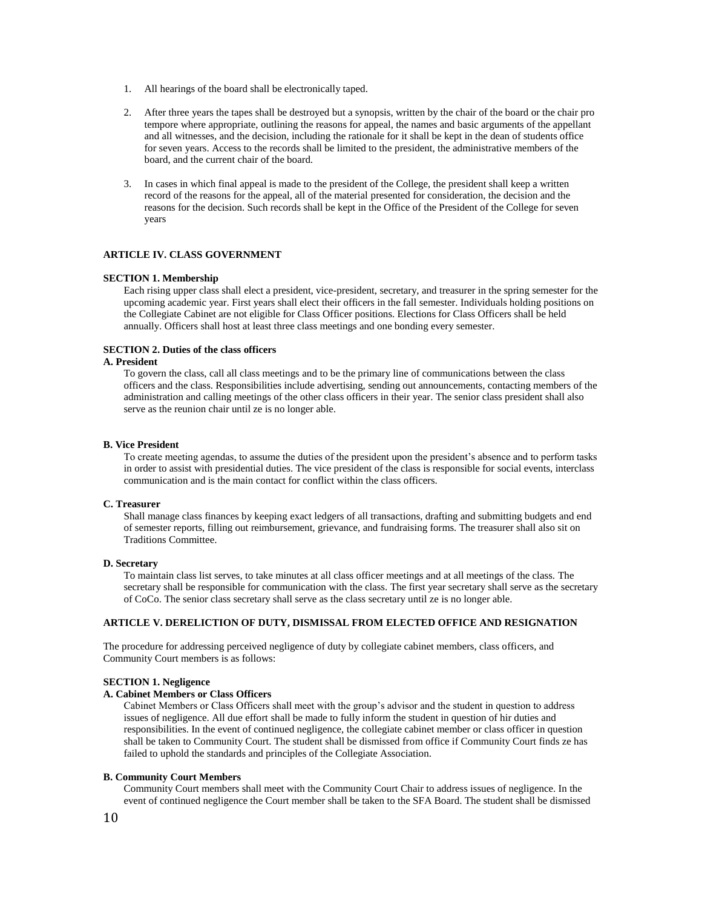- 1. All hearings of the board shall be electronically taped.
- 2. After three years the tapes shall be destroyed but a synopsis, written by the chair of the board or the chair pro tempore where appropriate, outlining the reasons for appeal, the names and basic arguments of the appellant and all witnesses, and the decision, including the rationale for it shall be kept in the dean of students office for seven years. Access to the records shall be limited to the president, the administrative members of the board, and the current chair of the board.
- 3. In cases in which final appeal is made to the president of the College, the president shall keep a written record of the reasons for the appeal, all of the material presented for consideration, the decision and the reasons for the decision. Such records shall be kept in the Office of the President of the College for seven years

# **ARTICLE IV. CLASS GOVERNMENT**

# **SECTION 1. Membership**

Each rising upper class shall elect a president, vice-president, secretary, and treasurer in the spring semester for the upcoming academic year. First years shall elect their officers in the fall semester. Individuals holding positions on the Collegiate Cabinet are not eligible for Class Officer positions. Elections for Class Officers shall be held annually. Officers shall host at least three class meetings and one bonding every semester.

# **SECTION 2. Duties of the class officers**

# **A. President**

To govern the class, call all class meetings and to be the primary line of communications between the class officers and the class. Responsibilities include advertising, sending out announcements, contacting members of the administration and calling meetings of the other class officers in their year. The senior class president shall also serve as the reunion chair until ze is no longer able.

#### **B. Vice President**

To create meeting agendas, to assume the duties of the president upon the president's absence and to perform tasks in order to assist with presidential duties. The vice president of the class is responsible for social events, interclass communication and is the main contact for conflict within the class officers.

#### **C. Treasurer**

Shall manage class finances by keeping exact ledgers of all transactions, drafting and submitting budgets and end of semester reports, filling out reimbursement, grievance, and fundraising forms. The treasurer shall also sit on Traditions Committee.

#### **D. Secretary**

To maintain class list serves, to take minutes at all class officer meetings and at all meetings of the class. The secretary shall be responsible for communication with the class. The first year secretary shall serve as the secretary of CoCo. The senior class secretary shall serve as the class secretary until ze is no longer able.

# **ARTICLE V. DERELICTION OF DUTY, DISMISSAL FROM ELECTED OFFICE AND RESIGNATION**

The procedure for addressing perceived negligence of duty by collegiate cabinet members, class officers, and Community Court members is as follows:

# **SECTION 1. Negligence**

## **A. Cabinet Members or Class Officers**

Cabinet Members or Class Officers shall meet with the group's advisor and the student in question to address issues of negligence. All due effort shall be made to fully inform the student in question of hir duties and responsibilities. In the event of continued negligence, the collegiate cabinet member or class officer in question shall be taken to Community Court. The student shall be dismissed from office if Community Court finds ze has failed to uphold the standards and principles of the Collegiate Association.

#### **B. Community Court Members**

Community Court members shall meet with the Community Court Chair to address issues of negligence. In the event of continued negligence the Court member shall be taken to the SFA Board. The student shall be dismissed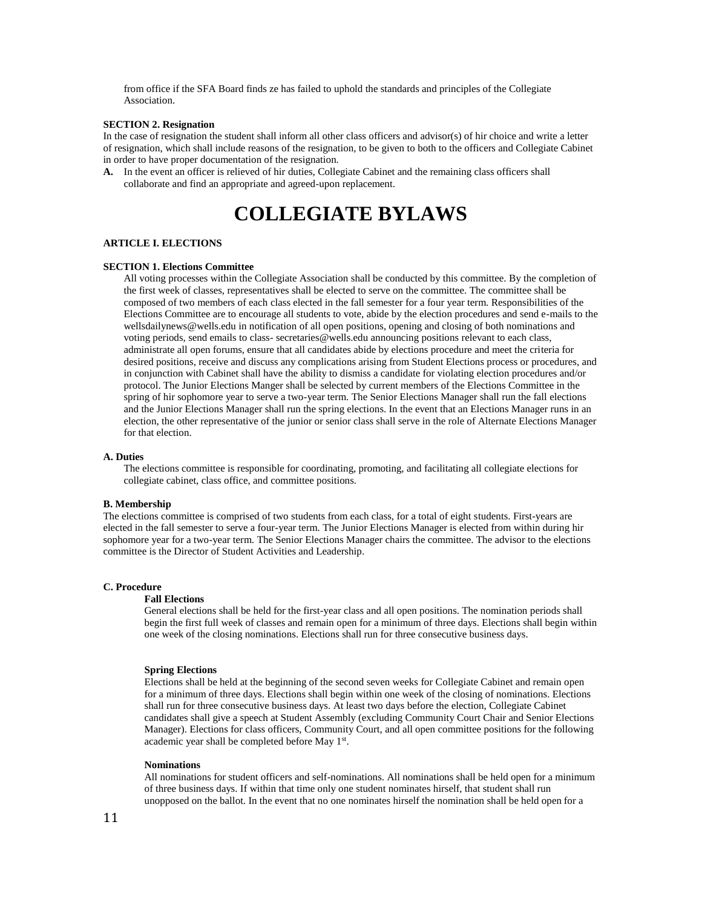from office if the SFA Board finds ze has failed to uphold the standards and principles of the Collegiate Association.

#### **SECTION 2. Resignation**

In the case of resignation the student shall inform all other class officers and advisor(s) of hir choice and write a letter of resignation, which shall include reasons of the resignation, to be given to both to the officers and Collegiate Cabinet in order to have proper documentation of the resignation.

**A.** In the event an officer is relieved of hir duties, Collegiate Cabinet and the remaining class officers shall collaborate and find an appropriate and agreed-upon replacement.

# **COLLEGIATE BYLAWS**

#### **ARTICLE I. ELECTIONS**

#### **SECTION 1. Elections Committee**

All voting processes within the Collegiate Association shall be conducted by this committee. By the completion of the first week of classes, representatives shall be elected to serve on the committee. The committee shall be composed of two members of each class elected in the fall semester for a four year term. Responsibilities of the Elections Committee are to encourage all students to vote, abide by the election procedures and send e-mails to the wellsdailynews@wells.edu in notification of all open positions, opening and closing of both nominations and voting periods, send emails to class- secretaries@wells.edu announcing positions relevant to each class, administrate all open forums, ensure that all candidates abide by elections procedure and meet the criteria for desired positions, receive and discuss any complications arising from Student Elections process or procedures, and in conjunction with Cabinet shall have the ability to dismiss a candidate for violating election procedures and/or protocol. The Junior Elections Manger shall be selected by current members of the Elections Committee in the spring of hir sophomore year to serve a two-year term. The Senior Elections Manager shall run the fall elections and the Junior Elections Manager shall run the spring elections. In the event that an Elections Manager runs in an election, the other representative of the junior or senior class shall serve in the role of Alternate Elections Manager for that election.

#### **A. Duties**

The elections committee is responsible for coordinating, promoting, and facilitating all collegiate elections for collegiate cabinet, class office, and committee positions.

#### **B. Membership**

The elections committee is comprised of two students from each class, for a total of eight students. First-years are elected in the fall semester to serve a four-year term. The Junior Elections Manager is elected from within during hir sophomore year for a two-year term. The Senior Elections Manager chairs the committee. The advisor to the elections committee is the Director of Student Activities and Leadership.

# **C. Procedure**

# **Fall Elections**

General elections shall be held for the first-year class and all open positions. The nomination periods shall begin the first full week of classes and remain open for a minimum of three days. Elections shall begin within one week of the closing nominations. Elections shall run for three consecutive business days.

# **Spring Elections**

Elections shall be held at the beginning of the second seven weeks for Collegiate Cabinet and remain open for a minimum of three days. Elections shall begin within one week of the closing of nominations. Elections shall run for three consecutive business days. At least two days before the election, Collegiate Cabinet candidates shall give a speech at Student Assembly (excluding Community Court Chair and Senior Elections Manager). Elections for class officers, Community Court, and all open committee positions for the following academic year shall be completed before May 1<sup>st</sup>.

#### **Nominations**

All nominations for student officers and self-nominations. All nominations shall be held open for a minimum of three business days. If within that time only one student nominates hirself, that student shall run unopposed on the ballot. In the event that no one nominates hirself the nomination shall be held open for a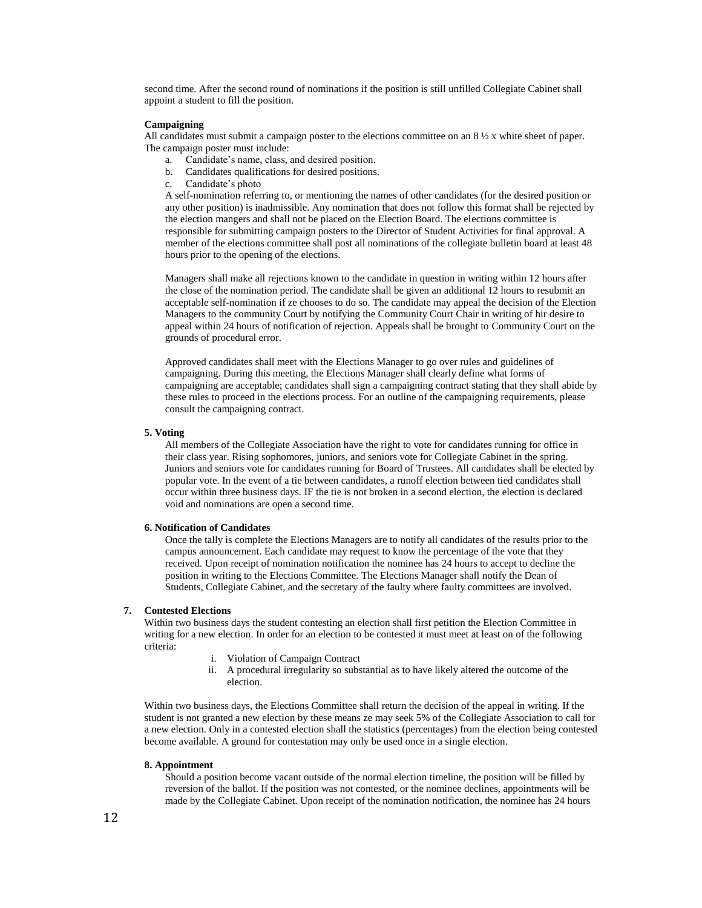second time. After the second round of nominations if the position is still unfilled Collegiate Cabinet shall appoint a student to fill the position.

# **Campaigning**

All candidates must submit a campaign poster to the elections committee on an  $8\frac{1}{2}x$  white sheet of paper. The campaign poster must include:

- a. Candidate's name, class, and desired position.
- b. Candidates qualifications for desired positions.
- c. Candidate's photo

A self-nomination referring to, or mentioning the names of other candidates (for the desired position or any other position) is inadmissible. Any nomination that does not follow this format shall be rejected by the election mangers and shall not be placed on the Election Board. The elections committee is responsible for submitting campaign posters to the Director of Student Activities for final approval. A member of the elections committee shall post all nominations of the collegiate bulletin board at least 48 hours prior to the opening of the elections.

Managers shall make all rejections known to the candidate in question in writing within 12 hours after the close of the nomination period. The candidate shall be given an additional 12 hours to resubmit an acceptable self-nomination if ze chooses to do so. The candidate may appeal the decision of the Election Managers to the community Court by notifying the Community Court Chair in writing of hir desire to appeal within 24 hours of notification of rejection. Appeals shall be brought to Community Court on the grounds of procedural error.

Approved candidates shall meet with the Elections Manager to go over rules and guidelines of campaigning. During this meeting, the Elections Manager shall clearly define what forms of campaigning are acceptable; candidates shall sign a campaigning contract stating that they shall abide by these rules to proceed in the elections process. For an outline of the campaigning requirements, please consult the campaigning contract.

#### **5. Voting**

All members of the Collegiate Association have the right to vote for candidates running for office in their class year. Rising sophomores, juniors, and seniors vote for Collegiate Cabinet in the spring. Juniors and seniors vote for candidates running for Board of Trustees. All candidates shall be elected by popular vote. In the event of a tie between candidates, a runoff election between tied candidates shall occur within three business days. IF the tie is not broken in a second election, the election is declared void and nominations are open a second time.

# **6. Notification of Candidates**

Once the tally is complete the Elections Managers are to notify all candidates of the results prior to the campus announcement. Each candidate may request to know the percentage of the vote that they received. Upon receipt of nomination notification the nominee has 24 hours to accept to decline the position in writing to the Elections Committee. The Elections Manager shall notify the Dean of Students, Collegiate Cabinet, and the secretary of the faulty where faulty committees are involved.

## **7. Contested Elections**

Within two business days the student contesting an election shall first petition the Election Committee in writing for a new election. In order for an election to be contested it must meet at least on of the following criteria:

- i. Violation of Campaign Contract
- ii. A procedural irregularity so substantial as to have likely altered the outcome of the election.

Within two business days, the Elections Committee shall return the decision of the appeal in writing. If the student is not granted a new election by these means ze may seek 5% of the Collegiate Association to call for a new election. Only in a contested election shall the statistics (percentages) from the election being contested become available. A ground for contestation may only be used once in a single election.

## **8. Appointment**

Should a position become vacant outside of the normal election timeline, the position will be filled by reversion of the ballot. If the position was not contested, or the nominee declines, appointments will be made by the Collegiate Cabinet. Upon receipt of the nomination notification, the nominee has 24 hours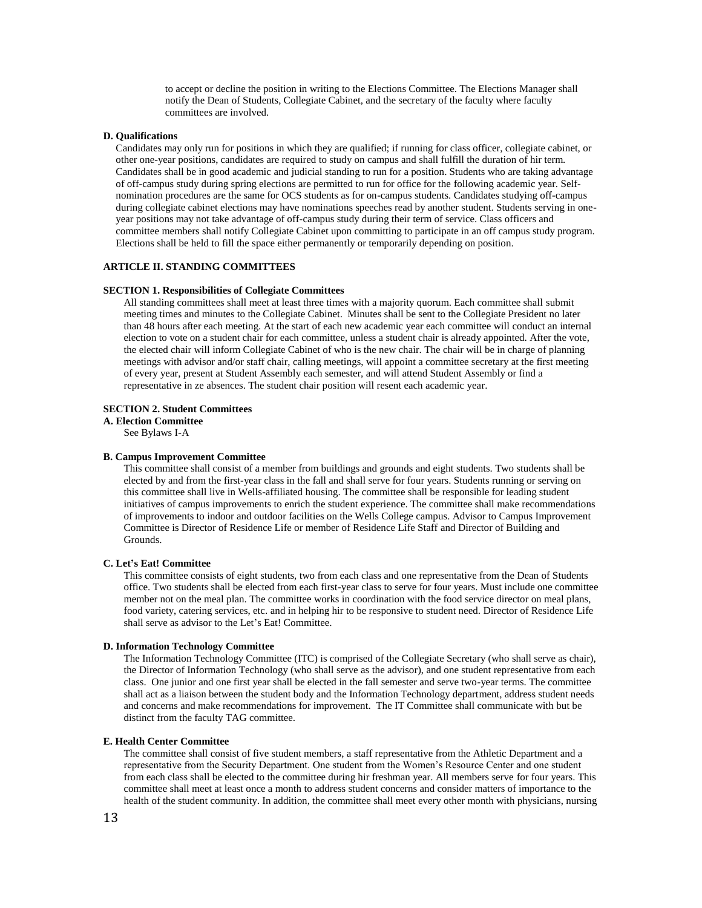to accept or decline the position in writing to the Elections Committee. The Elections Manager shall notify the Dean of Students, Collegiate Cabinet, and the secretary of the faculty where faculty committees are involved.

#### **D. Qualifications**

Candidates may only run for positions in which they are qualified; if running for class officer, collegiate cabinet, or other one-year positions, candidates are required to study on campus and shall fulfill the duration of hir term. Candidates shall be in good academic and judicial standing to run for a position. Students who are taking advantage of off-campus study during spring elections are permitted to run for office for the following academic year. Selfnomination procedures are the same for OCS students as for on-campus students. Candidates studying off-campus during collegiate cabinet elections may have nominations speeches read by another student. Students serving in oneyear positions may not take advantage of off-campus study during their term of service. Class officers and committee members shall notify Collegiate Cabinet upon committing to participate in an off campus study program. Elections shall be held to fill the space either permanently or temporarily depending on position.

# **ARTICLE II. STANDING COMMITTEES**

#### **SECTION 1. Responsibilities of Collegiate Committees**

All standing committees shall meet at least three times with a majority quorum. Each committee shall submit meeting times and minutes to the Collegiate Cabinet. Minutes shall be sent to the Collegiate President no later than 48 hours after each meeting. At the start of each new academic year each committee will conduct an internal election to vote on a student chair for each committee, unless a student chair is already appointed. After the vote, the elected chair will inform Collegiate Cabinet of who is the new chair. The chair will be in charge of planning meetings with advisor and/or staff chair, calling meetings, will appoint a committee secretary at the first meeting of every year, present at Student Assembly each semester, and will attend Student Assembly or find a representative in ze absences. The student chair position will resent each academic year.

#### **SECTION 2. Student Committees**

**A. Election Committee** 

See Bylaws I-A

#### **B. Campus Improvement Committee**

This committee shall consist of a member from buildings and grounds and eight students. Two students shall be elected by and from the first-year class in the fall and shall serve for four years. Students running or serving on this committee shall live in Wells-affiliated housing. The committee shall be responsible for leading student initiatives of campus improvements to enrich the student experience. The committee shall make recommendations of improvements to indoor and outdoor facilities on the Wells College campus. Advisor to Campus Improvement Committee is Director of Residence Life or member of Residence Life Staff and Director of Building and Grounds.

### **C. Let's Eat! Committee**

This committee consists of eight students, two from each class and one representative from the Dean of Students office. Two students shall be elected from each first-year class to serve for four years. Must include one committee member not on the meal plan. The committee works in coordination with the food service director on meal plans, food variety, catering services, etc. and in helping hir to be responsive to student need. Director of Residence Life shall serve as advisor to the Let's Eat! Committee.

#### **D. Information Technology Committee**

The Information Technology Committee (ITC) is comprised of the Collegiate Secretary (who shall serve as chair), the Director of Information Technology (who shall serve as the advisor), and one student representative from each class. One junior and one first year shall be elected in the fall semester and serve two-year terms. The committee shall act as a liaison between the student body and the Information Technology department, address student needs and concerns and make recommendations for improvement. The IT Committee shall communicate with but be distinct from the faculty TAG committee.

# **E. Health Center Committee**

The committee shall consist of five student members, a staff representative from the Athletic Department and a representative from the Security Department. One student from the Women's Resource Center and one student from each class shall be elected to the committee during hir freshman year. All members serve for four years. This committee shall meet at least once a month to address student concerns and consider matters of importance to the health of the student community. In addition, the committee shall meet every other month with physicians, nursing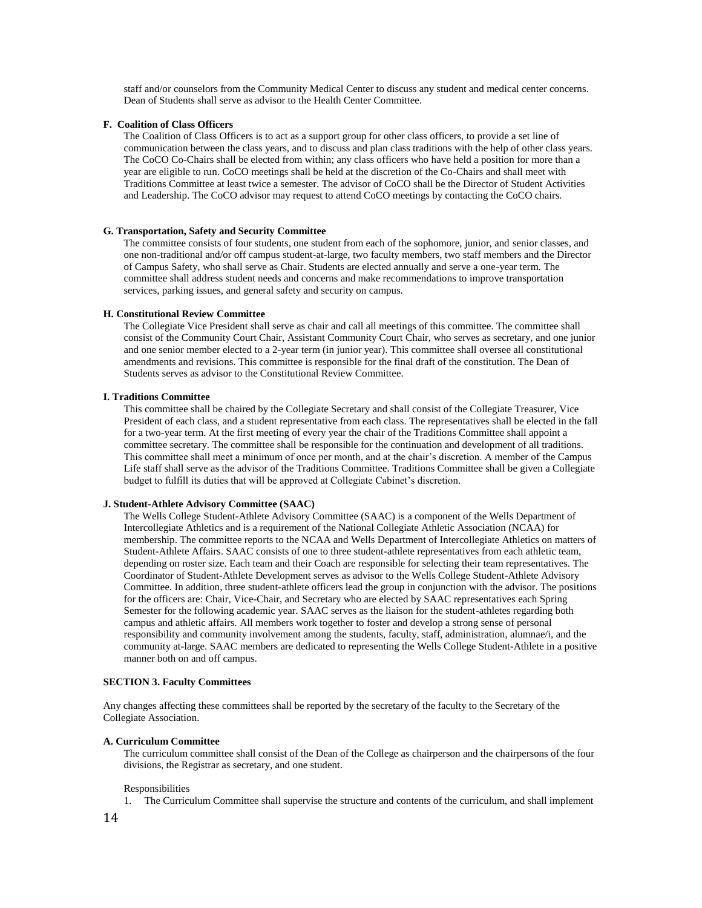staff and/or counselors from the Community Medical Center to discuss any student and medical center concerns. Dean of Students shall serve as advisor to the Health Center Committee.

#### **F. Coalition of Class Officers**

The Coalition of Class Officers is to act as a support group for other class officers, to provide a set line of communication between the class years, and to discuss and plan class traditions with the help of other class years. The CoCO Co-Chairs shall be elected from within; any class officers who have held a position for more than a year are eligible to run. CoCO meetings shall be held at the discretion of the Co-Chairs and shall meet with Traditions Committee at least twice a semester. The advisor of CoCO shall be the Director of Student Activities and Leadership. The CoCO advisor may request to attend CoCO meetings by contacting the CoCO chairs.

#### **G. Transportation, Safety and Security Committee**

The committee consists of four students, one student from each of the sophomore, junior, and senior classes, and one non-traditional and/or off campus student-at-large, two faculty members, two staff members and the Director of Campus Safety, who shall serve as Chair. Students are elected annually and serve a one-year term. The committee shall address student needs and concerns and make recommendations to improve transportation services, parking issues, and general safety and security on campus.

# **H. Constitutional Review Committee**

The Collegiate Vice President shall serve as chair and call all meetings of this committee. The committee shall consist of the Community Court Chair, Assistant Community Court Chair, who serves as secretary, and one junior and one senior member elected to a 2-year term (in junior year). This committee shall oversee all constitutional amendments and revisions. This committee is responsible for the final draft of the constitution. The Dean of Students serves as advisor to the Constitutional Review Committee.

# **I. Traditions Committee**

This committee shall be chaired by the Collegiate Secretary and shall consist of the Collegiate Treasurer, Vice President of each class, and a student representative from each class. The representatives shall be elected in the fall for a two-year term. At the first meeting of every year the chair of the Traditions Committee shall appoint a committee secretary. The committee shall be responsible for the continuation and development of all traditions. This committee shall meet a minimum of once per month, and at the chair's discretion. A member of the Campus Life staff shall serve as the advisor of the Traditions Committee. Traditions Committee shall be given a Collegiate budget to fulfill its duties that will be approved at Collegiate Cabinet's discretion.

#### **J. Student-Athlete Advisory Committee (SAAC)**

The Wells College Student-Athlete Advisory Committee (SAAC) is a component of the Wells Department of Intercollegiate Athletics and is a requirement of the National Collegiate Athletic Association (NCAA) for membership. The committee reports to the NCAA and Wells Department of Intercollegiate Athletics on matters of Student-Athlete Affairs. SAAC consists of one to three student-athlete representatives from each athletic team, depending on roster size. Each team and their Coach are responsible for selecting their team representatives. The Coordinator of Student-Athlete Development serves as advisor to the Wells College Student-Athlete Advisory Committee. In addition, three student-athlete officers lead the group in conjunction with the advisor. The positions for the officers are: Chair, Vice-Chair, and Secretary who are elected by SAAC representatives each Spring Semester for the following academic year. SAAC serves as the liaison for the student-athletes regarding both campus and athletic affairs. All members work together to foster and develop a strong sense of personal responsibility and community involvement among the students, faculty, staff, administration, alumnae/i, and the community at-large. SAAC members are dedicated to representing the Wells College Student-Athlete in a positive manner both on and off campus.

# **SECTION 3. Faculty Committees**

Any changes affecting these committees shall be reported by the secretary of the faculty to the Secretary of the Collegiate Association.

#### **A. Curriculum Committee**

The curriculum committee shall consist of the Dean of the College as chairperson and the chairpersons of the four divisions, the Registrar as secretary, and one student.

#### Responsibilities

1. The Curriculum Committee shall supervise the structure and contents of the curriculum, and shall implement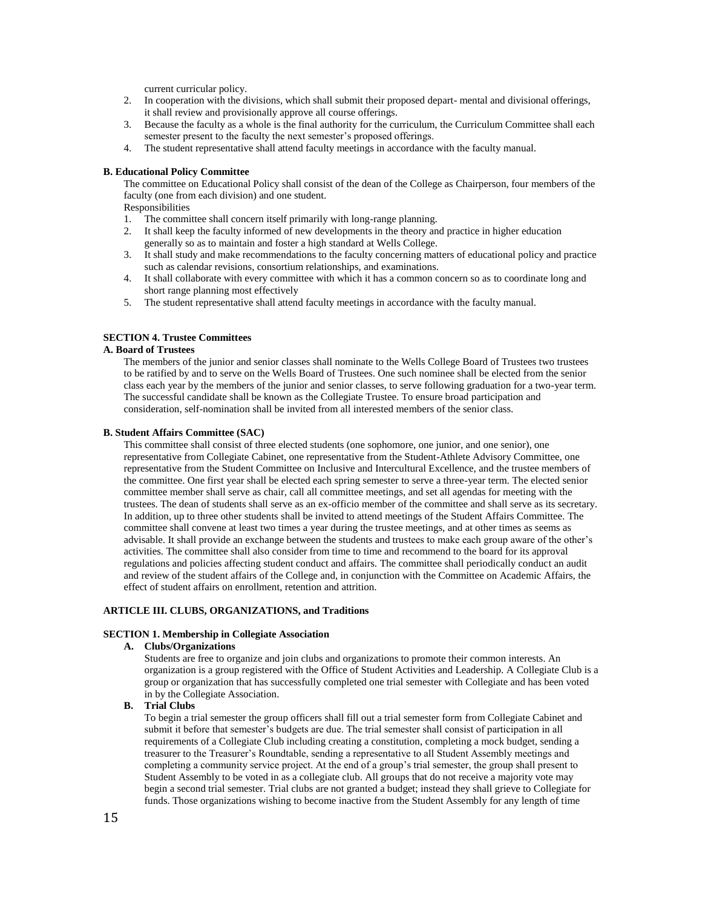current curricular policy.

- 2. In cooperation with the divisions, which shall submit their proposed depart- mental and divisional offerings, it shall review and provisionally approve all course offerings.
- 3. Because the faculty as a whole is the final authority for the curriculum, the Curriculum Committee shall each semester present to the faculty the next semester's proposed offerings.
- 4. The student representative shall attend faculty meetings in accordance with the faculty manual.

## **B. Educational Policy Committee**

The committee on Educational Policy shall consist of the dean of the College as Chairperson, four members of the faculty (one from each division) and one student.

Responsibilities

- 1. The committee shall concern itself primarily with long-range planning.
- 2. It shall keep the faculty informed of new developments in the theory and practice in higher education generally so as to maintain and foster a high standard at Wells College.
- 3. It shall study and make recommendations to the faculty concerning matters of educational policy and practice such as calendar revisions, consortium relationships, and examinations.
- 4. It shall collaborate with every committee with which it has a common concern so as to coordinate long and short range planning most effectively
- 5. The student representative shall attend faculty meetings in accordance with the faculty manual.

# **SECTION 4. Trustee Committees**

# **A. Board of Trustees**

The members of the junior and senior classes shall nominate to the Wells College Board of Trustees two trustees to be ratified by and to serve on the Wells Board of Trustees. One such nominee shall be elected from the senior class each year by the members of the junior and senior classes, to serve following graduation for a two-year term. The successful candidate shall be known as the Collegiate Trustee. To ensure broad participation and consideration, self-nomination shall be invited from all interested members of the senior class.

#### **B. Student Affairs Committee (SAC)**

This committee shall consist of three elected students (one sophomore, one junior, and one senior), one representative from Collegiate Cabinet, one representative from the Student-Athlete Advisory Committee, one representative from the Student Committee on Inclusive and Intercultural Excellence, and the trustee members of the committee. One first year shall be elected each spring semester to serve a three-year term. The elected senior committee member shall serve as chair, call all committee meetings, and set all agendas for meeting with the trustees. The dean of students shall serve as an ex-officio member of the committee and shall serve as its secretary. In addition, up to three other students shall be invited to attend meetings of the Student Affairs Committee. The committee shall convene at least two times a year during the trustee meetings, and at other times as seems as advisable. It shall provide an exchange between the students and trustees to make each group aware of the other's activities. The committee shall also consider from time to time and recommend to the board for its approval regulations and policies affecting student conduct and affairs. The committee shall periodically conduct an audit and review of the student affairs of the College and, in conjunction with the Committee on Academic Affairs, the effect of student affairs on enrollment, retention and attrition.

# **ARTICLE III. CLUBS, ORGANIZATIONS, and Traditions**

# **SECTION 1. Membership in Collegiate Association**

#### **A. Clubs/Organizations**

Students are free to organize and join clubs and organizations to promote their common interests. An organization is a group registered with the Office of Student Activities and Leadership. A Collegiate Club is a group or organization that has successfully completed one trial semester with Collegiate and has been voted in by the Collegiate Association.

# **B. Trial Clubs**

To begin a trial semester the group officers shall fill out a trial semester form from Collegiate Cabinet and submit it before that semester's budgets are due. The trial semester shall consist of participation in all requirements of a Collegiate Club including creating a constitution, completing a mock budget, sending a treasurer to the Treasurer's Roundtable, sending a representative to all Student Assembly meetings and completing a community service project. At the end of a group's trial semester, the group shall present to Student Assembly to be voted in as a collegiate club. All groups that do not receive a majority vote may begin a second trial semester. Trial clubs are not granted a budget; instead they shall grieve to Collegiate for funds. Those organizations wishing to become inactive from the Student Assembly for any length of time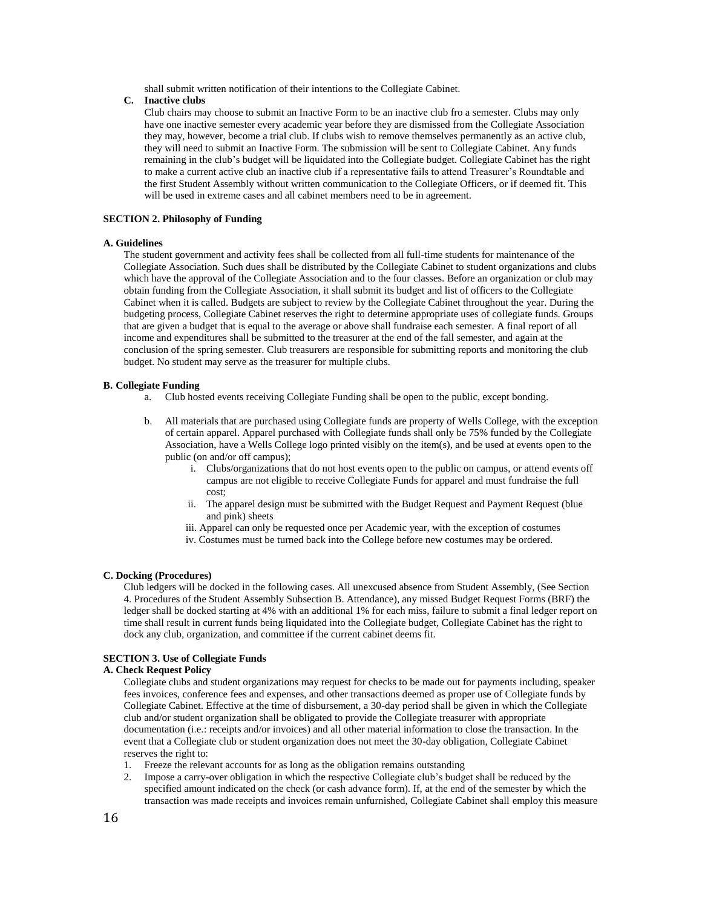shall submit written notification of their intentions to the Collegiate Cabinet.

# **C. Inactive clubs**

Club chairs may choose to submit an Inactive Form to be an inactive club fro a semester. Clubs may only have one inactive semester every academic year before they are dismissed from the Collegiate Association they may, however, become a trial club. If clubs wish to remove themselves permanently as an active club, they will need to submit an Inactive Form. The submission will be sent to Collegiate Cabinet. Any funds remaining in the club's budget will be liquidated into the Collegiate budget. Collegiate Cabinet has the right to make a current active club an inactive club if a representative fails to attend Treasurer's Roundtable and the first Student Assembly without written communication to the Collegiate Officers, or if deemed fit. This will be used in extreme cases and all cabinet members need to be in agreement.

#### **SECTION 2. Philosophy of Funding**

#### **A. Guidelines**

The student government and activity fees shall be collected from all full-time students for maintenance of the Collegiate Association. Such dues shall be distributed by the Collegiate Cabinet to student organizations and clubs which have the approval of the Collegiate Association and to the four classes. Before an organization or club may obtain funding from the Collegiate Association, it shall submit its budget and list of officers to the Collegiate Cabinet when it is called. Budgets are subject to review by the Collegiate Cabinet throughout the year. During the budgeting process, Collegiate Cabinet reserves the right to determine appropriate uses of collegiate funds. Groups that are given a budget that is equal to the average or above shall fundraise each semester. A final report of all income and expenditures shall be submitted to the treasurer at the end of the fall semester, and again at the conclusion of the spring semester. Club treasurers are responsible for submitting reports and monitoring the club budget. No student may serve as the treasurer for multiple clubs.

# **B. Collegiate Funding**

- a. Club hosted events receiving Collegiate Funding shall be open to the public, except bonding.
- b. All materials that are purchased using Collegiate funds are property of Wells College, with the exception of certain apparel. Apparel purchased with Collegiate funds shall only be 75% funded by the Collegiate Association, have a Wells College logo printed visibly on the item(s), and be used at events open to the public (on and/or off campus);
	- i. Clubs/organizations that do not host events open to the public on campus, or attend events off campus are not eligible to receive Collegiate Funds for apparel and must fundraise the full cost;
	- ii. The apparel design must be submitted with the Budget Request and Payment Request (blue and pink) sheets
	- iii. Apparel can only be requested once per Academic year, with the exception of costumes
	- iv. Costumes must be turned back into the College before new costumes may be ordered.

# **C. Docking (Procedures)**

Club ledgers will be docked in the following cases. All unexcused absence from Student Assembly, (See Section 4. Procedures of the Student Assembly Subsection B. Attendance), any missed Budget Request Forms (BRF) the ledger shall be docked starting at 4% with an additional 1% for each miss, failure to submit a final ledger report on time shall result in current funds being liquidated into the Collegiate budget, Collegiate Cabinet has the right to dock any club, organization, and committee if the current cabinet deems fit.

# **SECTION 3. Use of Collegiate Funds**

# **A. Check Request Policy**

Collegiate clubs and student organizations may request for checks to be made out for payments including, speaker fees invoices, conference fees and expenses, and other transactions deemed as proper use of Collegiate funds by Collegiate Cabinet. Effective at the time of disbursement, a 30-day period shall be given in which the Collegiate club and/or student organization shall be obligated to provide the Collegiate treasurer with appropriate documentation (i.e.: receipts and/or invoices) and all other material information to close the transaction. In the event that a Collegiate club or student organization does not meet the 30-day obligation, Collegiate Cabinet reserves the right to:

- 1. Freeze the relevant accounts for as long as the obligation remains outstanding
- 2. Impose a carry-over obligation in which the respective Collegiate club's budget shall be reduced by the specified amount indicated on the check (or cash advance form). If, at the end of the semester by which the transaction was made receipts and invoices remain unfurnished, Collegiate Cabinet shall employ this measure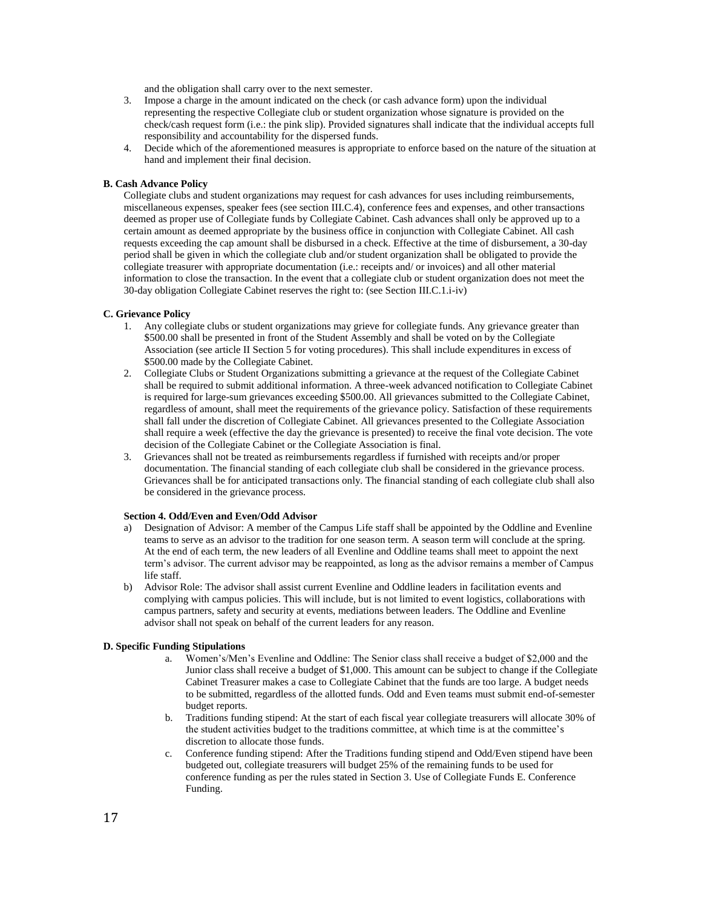and the obligation shall carry over to the next semester.

- 3. Impose a charge in the amount indicated on the check (or cash advance form) upon the individual representing the respective Collegiate club or student organization whose signature is provided on the check/cash request form (i.e.: the pink slip). Provided signatures shall indicate that the individual accepts full responsibility and accountability for the dispersed funds.
- 4. Decide which of the aforementioned measures is appropriate to enforce based on the nature of the situation at hand and implement their final decision.

# **B. Cash Advance Policy**

Collegiate clubs and student organizations may request for cash advances for uses including reimbursements, miscellaneous expenses, speaker fees (see section III.C.4), conference fees and expenses, and other transactions deemed as proper use of Collegiate funds by Collegiate Cabinet. Cash advances shall only be approved up to a certain amount as deemed appropriate by the business office in conjunction with Collegiate Cabinet. All cash requests exceeding the cap amount shall be disbursed in a check. Effective at the time of disbursement, a 30-day period shall be given in which the collegiate club and/or student organization shall be obligated to provide the collegiate treasurer with appropriate documentation (i.e.: receipts and/ or invoices) and all other material information to close the transaction. In the event that a collegiate club or student organization does not meet the 30-day obligation Collegiate Cabinet reserves the right to: (see Section III.C.1.i-iv)

# **C. Grievance Policy**

- 1. Any collegiate clubs or student organizations may grieve for collegiate funds. Any grievance greater than \$500.00 shall be presented in front of the Student Assembly and shall be voted on by the Collegiate Association (see article II Section 5 for voting procedures). This shall include expenditures in excess of \$500.00 made by the Collegiate Cabinet.
- 2. Collegiate Clubs or Student Organizations submitting a grievance at the request of the Collegiate Cabinet shall be required to submit additional information. A three-week advanced notification to Collegiate Cabinet is required for large-sum grievances exceeding \$500.00. All grievances submitted to the Collegiate Cabinet, regardless of amount, shall meet the requirements of the grievance policy. Satisfaction of these requirements shall fall under the discretion of Collegiate Cabinet. All grievances presented to the Collegiate Association shall require a week (effective the day the grievance is presented) to receive the final vote decision. The vote decision of the Collegiate Cabinet or the Collegiate Association is final.
- 3. Grievances shall not be treated as reimbursements regardless if furnished with receipts and/or proper documentation. The financial standing of each collegiate club shall be considered in the grievance process. Grievances shall be for anticipated transactions only. The financial standing of each collegiate club shall also be considered in the grievance process.

# **Section 4. Odd/Even and Even/Odd Advisor**

- a) Designation of Advisor: A member of the Campus Life staff shall be appointed by the Oddline and Evenline teams to serve as an advisor to the tradition for one season term. A season term will conclude at the spring. At the end of each term, the new leaders of all Evenline and Oddline teams shall meet to appoint the next term's advisor. The current advisor may be reappointed, as long as the advisor remains a member of Campus life staff.
- b) Advisor Role: The advisor shall assist current Evenline and Oddline leaders in facilitation events and complying with campus policies. This will include, but is not limited to event logistics, collaborations with campus partners, safety and security at events, mediations between leaders. The Oddline and Evenline advisor shall not speak on behalf of the current leaders for any reason.

# **D. Specific Funding Stipulations**

- a. Women's/Men's Evenline and Oddline: The Senior class shall receive a budget of \$2,000 and the Junior class shall receive a budget of \$1,000. This amount can be subject to change if the Collegiate Cabinet Treasurer makes a case to Collegiate Cabinet that the funds are too large. A budget needs to be submitted, regardless of the allotted funds. Odd and Even teams must submit end-of-semester budget reports.
- b. Traditions funding stipend: At the start of each fiscal year collegiate treasurers will allocate 30% of the student activities budget to the traditions committee, at which time is at the committee's discretion to allocate those funds.
- c. Conference funding stipend: After the Traditions funding stipend and Odd/Even stipend have been budgeted out, collegiate treasurers will budget 25% of the remaining funds to be used for conference funding as per the rules stated in Section 3. Use of Collegiate Funds E. Conference Funding.